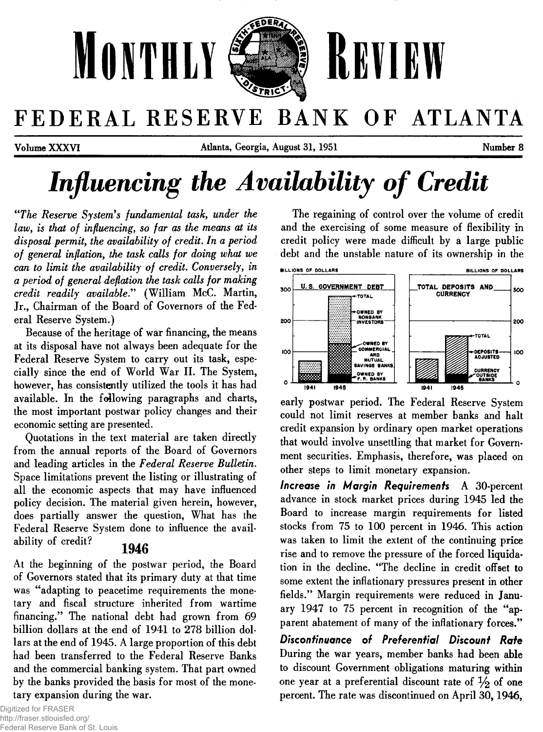

# FEDERAL RESERVE BANK OF ATLANTA

**Volume X X X V I Atlanta, Georgia, August 31, 1951 Number 8**

# Influencing the Availability of Credit

*"The Reserve System 's fundamental task, under the* law, is that of influencing, so far as the means at its *disposal permit, the availability of credit. In a period* of general inflation, the task calls for doing what we *can to limit the availability of credit. Conversely, in a period of general deflation the task calls for making credit readily available***." (William McC. Martin, Jr., Chairman of the Board of Governors of the Federal Reserve System.)**

**Because of the heritage of war financing, the means at its disposal have not always been adequate for the Federal Reserve System to carry out its task, especially since the end of World War II. The System, however, has consistently utilized the tools it has had available. In the following paragraphs and charts, the most important postwar policy changes and their economic setting are presented.**

**Quotations in the text material are taken directly from the annual reports of the Board of Governors and leading articles in the** *Federal Reserve Bulletin.* **Space limitations prevent the listing or illustrating of all the economic aspects that may have influenced policy decision. The material given herein, however, does partially answer the question, What has the Federal Reserve System done to influence the availability of credit?**

## **194b**

**At the beginning of the postwar period, the Board of Governors stated that its primary duty at that time was "adapting to peacetime requirements the monetary and fiscal structure inherited from wartime financing." The national debt had grown from 69 billion dollars at the end of 1941 to 278 billion dollars at the end of 1945. A large proportion of this debt had been transferred to the Federal Reserve Banks and the commercial banking system. That part owned by the banks provided the basis for most of the monetary expansion during the war.**

**The regaining of control over the volume of credit and the exercising of some measure of flexibility in credit policy were made difficult by a large public debt and the unstable nature of its ownership in the**



**early postwar period. The Federal Reserve System could not limit reserves at member banks and halt credit expansion by ordinary open market operations that would involve unsettling that market for Government securities. Emphasis, therefore, was placed on other steps to limit monetary expansion.**

*Increase in M argin Requirem ents* **A 30-percent advance in stock market prices during 1945 led the Board to increase margin requirements for listed stocks from 75 to 100 percent in 1946. This action was taken to limit the extent of the continuing price rise and to remove the pressure of the forced liquidation in the decline. "The decline in credit offset to some extent the inflationary pressures present in other fields." Margin requirements were reduced in January 1947 to 75 percent in recognition of the "apparent abatement of many of the inflationary forces."**

**Discontinuance of Preferential Discount Rate During the war years, member banks had been able to discount Government obligations maturing within** one year at a preferential discount rate of  $\frac{1}{2}$  of one **percent. The rate was discontinued on April 30,1946,**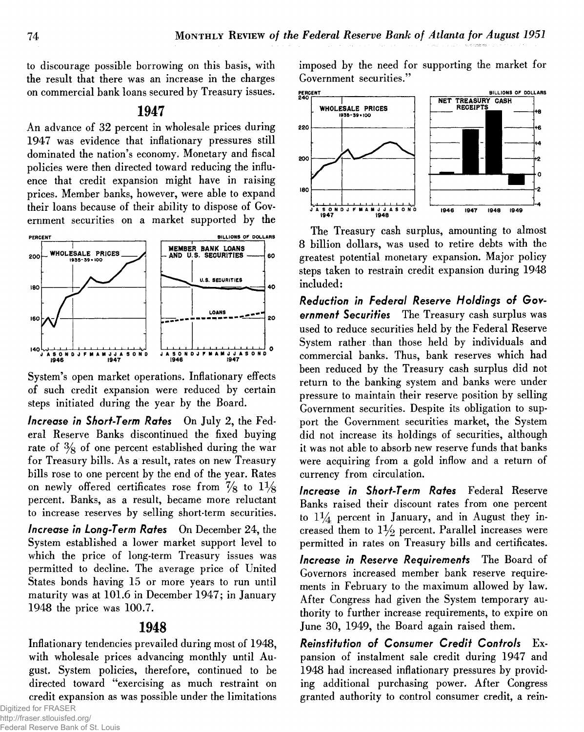**to discourage possible borrowing on this basis, with the result that there was an increase in the charges on commercial bank loans secured by Treasury issues.**

## 1947

**An advance of 32 percent in wholesale prices during 1947 was evidence that inflationary pressures still dominated the nation's economy. Monetary and fiscal policies were then directed toward reducing the influence that credit expansion might have in raising prices. Member banks, however, were able to expand their loans because of their ability to dispose of Government securities on a market supported by the**



**System's open market operations. Inflationary effects of such credit expansion were reduced by certain steps initiated during the year by the Board.**

*Increase in Short-Term Rates* **On July 2, the Federal Reserve Banks discontinued the fixed buying rate of % of one percent established during the war for Treasury bills. As a result, rates on new Treasury bills rose to one percent by the end of the year. Rates** on newly offered certificates rose from  $\frac{7}{8}$  to  $1\frac{1}{8}$ **percent. Banks, as a result, became more reluctant to increase reserves by selling short-term securities.**

*Increase in Long-Term R ates* **On December 24, the System established a lower market support level to which the price of long-term Treasury issues was permitted to decline. The average price of United States bonds having 15 or more years to run until maturity was at 101.6 in December 1947; in January 1948 the price was 100.7.**

## 1948

**Inflationary tendencies prevailed during most of 1948, with wholesale prices advancing monthly until August. System policies, therefore, continued to be directed toward "exercising as much restraint on credit expansion as was possible under the limitations**

Digitized for FRASER http://fraser.stlouisfed.org/ Federal Reserve Bank of St. Louis **imposed by the need for supporting the market for Government securities."**



**The Treasury cash surplus, amounting to almost 8 billion dollars, was used to retire debts with the greatest potential monetary expansion. Major policy steps taken to restrain credit expansion during 1948 included:**

Reduction in Federal Reserve Holdings of Gov*ernm ent Securities* **The Treasury cash surplus was used to reduce securities held by the Federal Reserve System rather than those held by individuals and commercial banks. Thus, bank reserves which had been reduced by the Treasury cash surplus did not return to the banking system and banks were under pressure to maintain their reserve position by selling Government securities. Despite its obligation to support the Government securities market, the System did not increase its holdings of securities, although it was not able to absorb new reserve funds that banks were acquiring from a gold inflow and a return of currency from circulation.**

*Increase in Short-Term R ates* **Federal Reserve Banks raised their discount rates from one percent to** *1 %* **percent in January, and in August they increased them to** *1^/2* **percent. Parallel increases were permitted in rates on Treasury bills and certificates.**

*Increase in Reserve Requirements* The Board of **Governors increased member bank reserve requirements in February to the maximum allowed by law. After Congress had given the System temporary authority to further increase requirements, to expire on June 30, 1949, the Board again raised them.**

**Reinstitution of Consumer Credit Controls** Ex**pansion of instalment sale credit during 1947 and 1948 had increased inflationary pressures by providing additional purchasing power. After Congress granted authority to control consumer credit, a rein-**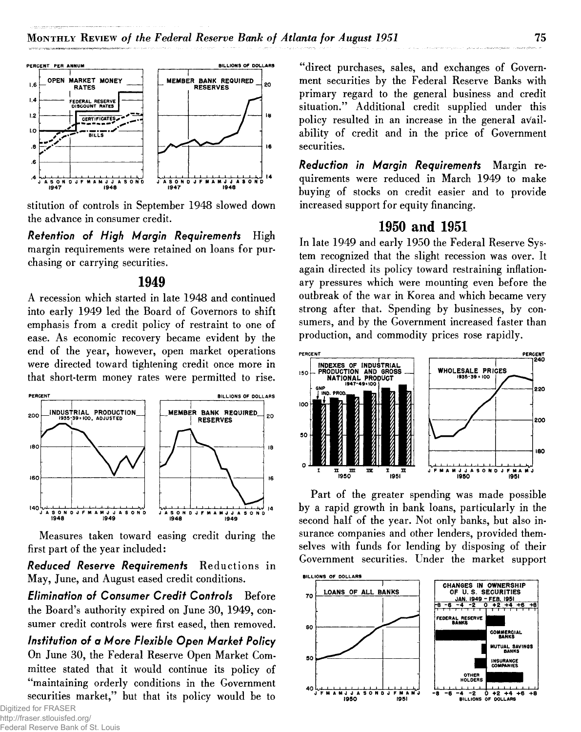

**stitution of controls in September 1948 slowed down the advance in consumer credit.**

*Retention of High Margin Requirements* High **margin requirements were retained on loans for purchasing or carrying securities.**

## 1949

**A recession which started in late 1948 and continued into early 1949 led the Board of Governors to shift emphasis from a credit policy of restraint to one of ease. As economic recovery became evident by the end of the year, however, open market operations were directed toward tightening credit once more in that short-term money rates were permitted to rise.**



**Measures taken toward easing credit during the first part of the year included:**

*R ed u ced R eserve Requirem ents* **Reductions in May, June, and August eased credit conditions.**

*Elimination of Consumer Credit Controls* Before **the Board's authority expired on June 30, 1949, consumer credit controls were first eased, then removed.**

*Institution of a More Flexible Open Market Policy* **On June 30, the Federal Reserve Open Market Committee stated that it would continue its policy of "maintaining orderly conditions in the Government securities market," but that its policy would be to**

Digitized for FRASER http://fraser.stlouisfed.org/ Federal Reserve Bank of St. Louis

**"direct purchases, sales, and exchanges of Government securities by the Federal Reserve Banks with primary regard to the general business and credit situation." Additional credit supplied under this policy resulted in an increase in the general availability of credit and in the price of Government securities.**

*Reduction in Margin Requirements* Margin re**quirements were reduced in March 1949 to make buying of stocks on credit easier and to provide increased support for equity financing.**

## 1950 and 1951

**In late 1949 and early 1950 the Federal Reserve System recognized that the slight recession was over. It again directed its policy toward restraining inflationary pressures which were mounting even before the outbreak of the war in Korea and which became very strong after that. Spending by businesses, by consumers, and by the Government increased faster than production, and commodity prices rose rapidly.**



**Part of the greater spending was made possible by a rapid growth in bank loans, particularly in the second half of the year. Not only banks, but also insurance companies and other lenders, provided themselves with funds for lending by disposing of their Government securities. Under the market support**

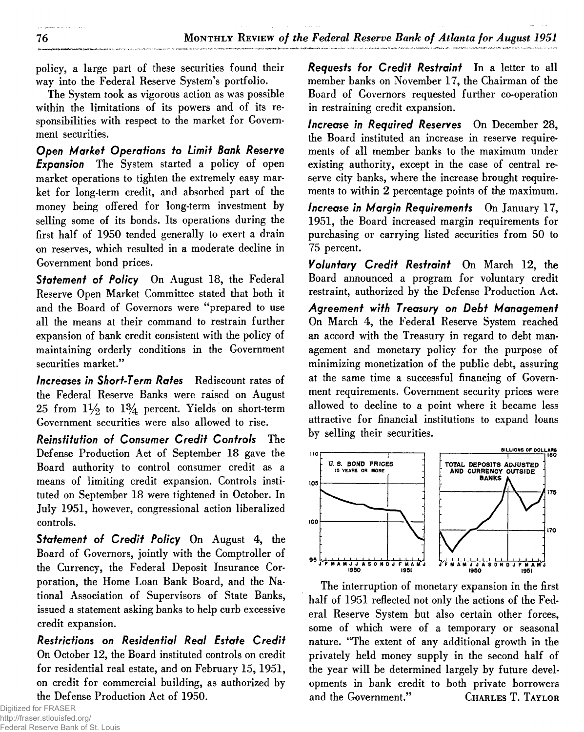**policy, a large part of these securities found their way into the Federal Reserve System's portfolio.**

**The System took as vigorous action as was possible within the limitations of its powers and of its responsibilities with respect to the market for Government securities.**

*O pen M arket O perations to Limit Bank Reserve Expansion* **The System started a policy of open market operations to tighten the extremely easy market for long-term credit, and absorbed part of the money being offered for long-term investment by selling some of its bonds. Its operations during the first half of 1950 tended generally to exert a drain on reserves, which resulted in a moderate decline in Government bond prices.**

**Statement of Policy** On August 18, the Federal **Reserve Open Market Committee stated that both it and the Board of Governors were "prepared to use all the means at their command to restrain further expansion of bank credit consistent with the policy of maintaining orderly conditions in the Government securities market."**

*Increases in Short-Term R ates* **Rediscount rates of the Federal Reserve Banks were raised on August** 25 from  $1\frac{1}{2}$  to  $1\frac{3}{4}$  percent. Yields on short-term **Government securities were also allowed to rise.**

*R einstitution o f C onsum er C re d it C ontrols* **The Defense Production Act of September 18 gave the Board authority to control consumer credit as a means of limiting credit expansion. Controls instituted on September 18 were tightened in October. In July 1951, however, congressional action liberalized controls.**

**Statement of Credit Policy** On August 4, the **Board of Governors, jointly with the Comptroller of the Currency, the Federal Deposit Insurance Corporation, the Home Loan Bank Board, and the National Association of Supervisors of State Banks, issued a statement asking banks to help curb excessive credit expansion.**

*Restrictions on R esidential Real E state C red it* **On October 12, the Board instituted controls on credit for residential real estate, and on February 15,1951, on credit for commercial building, as authorized by the Defense Production Act of 1950.**

Digitized for FRASER http://fraser.stlouisfed.org/ Federal Reserve Bank of St. Louis *Requests for Credit Restraint* In a letter to all **member banks on November 17, the Chairman of the Board of Governors requested further co-operation in restraining credit expansion.**

*Increase in Required Reserves* On December 28, **the Board instituted an increase in reserve requirements of all member banks to the maximum under existing authority, except in the case of central reserve city banks, where the increase brought requirements to within 2 percentage points of the maximum.**

*Increase in Margin Requirements* On January 17, **1951, the Board increased margin requirements for purchasing or carrying listed securities from 50 to 75 percent.**

*Voluntary C re d it R estraint* **On March 12, the Board announced a program for voluntary credit restraint, authorized by the Defense Production Act.**

Agreement with Treasury on Debt Management **On March 4, the Federal Reserve System reached an accord with the Treasury in regard to debt management and monetary policy for the purpose of minimizing monetization of the public debt, assuring at the same time a successful financing of Government requirements. Government security prices were allowed to decline to a point where it became less attractive for financial institutions to expand loans by selling their securities.**



**The interruption of monetary expansion in the first half of 1951 reflected not only the actions of the Federal Reserve System but also certain other forces, some of which were of a temporary or seasonal nature. "The extent of any additional growth in the privately held money supply in the second half of the year will be determined largely by future developments in bank credit to both private borrowers and the Government." Charles T. Taylor**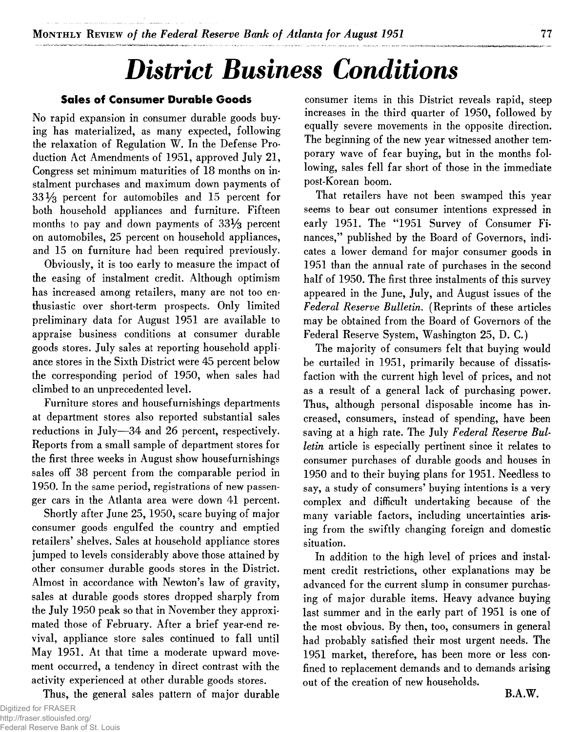# *District Business Conditions*

### **Sales of Consumer Durable Goods**

**No rapid expansion in consumer durable goods buying has materialized, as many expected, following the relaxation of Regulation W. In the Defense Production Act Amendments of 1951, approved July 21, Congress set minimum maturities of 18 months on instalment purchases and maximum down payments of 33% percent for automobiles and 15 percent for both household appliances and furniture. Fifteen months to pay and down payments of 33% percent on automobiles, 25 percent on household appliances, and 15 on furniture had been required previously.**

**Obviously, it is too early to measure the impact of the easing of instalment credit. Although optimism has increased among retailers, many are not too enthusiastic over short-term prospects. Only limited preliminary data for August 1951 are available to appraise business conditions at consumer durable goods stores. July sales at reporting household appliance stores in the Sixth District were 45 percent below the corresponding period of 1950, when sales had climbed to an unprecedented level.**

**Furniture stores and housefurnishings departments at department stores also reported substantial sales reductions in July—34 and 26 percent, respectively. Reports from a small sample of department stores for the first three weeks in August show housefurnishings sales off 38 percent from the comparable period in 1950. In the same period, registrations of new passenger cars in the Atlanta area were down 41 percent.**

**Shortly after June 25, 1950, scare buying of major consumer goods engulfed the country and emptied retailers' shelves. Sales at household appliance stores jumped to levels considerably above those attained by other consumer durable goods stores in the District. Almost in accordance with Newton's law of gravity, sales at durable goods stores dropped sharply from the July 1950 peak so that in November they approximated those of February. After a brief year-end revival, appliance store sales continued to fall until May 1951. At that time a moderate upward movement occurred, a tendency in direct contrast with the activity experienced at other durable goods stores.**

**Thus, the general sales pattern of major durable**

**consumer items in this District reveals rapid, steep increases in the third quarter of 1950, followed by equally severe movements in the opposite direction. The beginning of the new year witnessed another temporary wave of fear buying, but in the months following, sales fell far short of those in the immediate post-Korean boom.**

**That retailers have not been swamped this year seems to bear out consumer intentions expressed in early 1951. The "1951 Survey of Consumer Finances," published by the Board of Governors, indicates a lower demand for major consumer goods in 1951 than the annual rate of purchases in the second half of 1950. The first three instalments of this survey appeared in the June, July, and August issues of the** *Federal Reserve Bulletin***. (Reprints of these articles may be obtained from the Board of Governors of the Federal Reserve System, Washington 25, D. C.)**

**The majority of consumers felt that buying would be curtailed in 1951, primarily because of dissatisfaction with the current high level of prices, and not as a result of a general lack of purchasing power. Thus, although personal disposable income has increased, consumers, instead of spending, have been** saving at a high rate. The July Federal Reserve Bul*letin* **article is especially pertinent since it relates to consumer purchases of durable goods and houses in 1950 and to their buying plans for 1951. Needless to say, a study of consumers' buying intentions is a very complex and difficult undertaking because of the many variable factors, including uncertainties arising from the swiftly changing foreign and domestic situation.**

**In addition to the high level of prices and instalment credit restrictions, other explanations may be advanced for the current slump in consumer purchasing of major durable items. Heavy advance buying last summer and in the early part of 1951 is one of the most obvious. By then, too, consumers in general had probably satisfied their most urgent needs. The 1951 market, therefore, has been more or less confined to replacement demands and to demands arising out of the creation of new households.**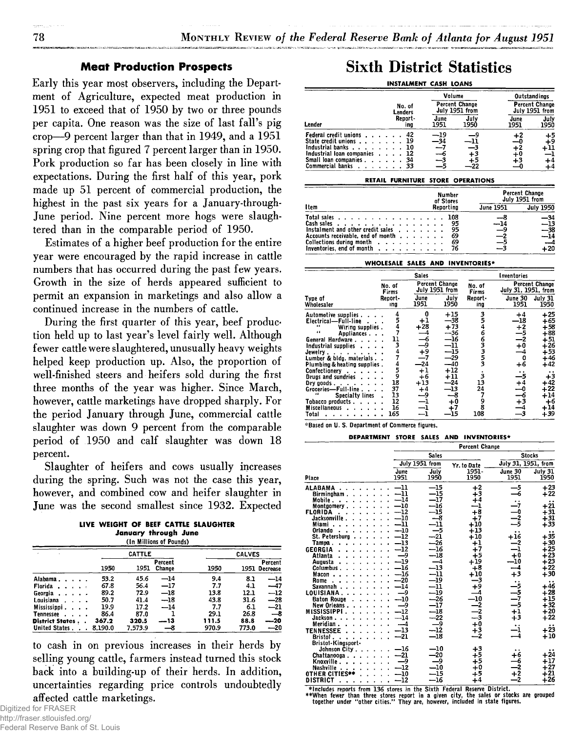### **Meat Production Prospects**

**Early this year most observers, including the Department of Agriculture, expected meat production in 1951 to exceed that of 1950 by two or three pounds per capita. One reason was the size of last fall's pig crop—9 percent larger than that in 1949, and a 1951 spring crop that figured 7 percent larger than in 1950. Pork production so far has been closely in line with expectations. During the first half of this year, pork made up 51 percent of commercial production, the highest in the past six years for a January-through-June period. Nine percent more hogs were slaughtered than in the comparable period of 1950.**

**Estimates of a higher beef production for the entire year were encouraged by the rapid increase in cattle numbers that has occurred during the past few years. Growth in the size of herds appeared sufficient to permit an expansion in marketings and also allow a continued increase in the numbers of cattle.**

**During the first quarter of this year, beef production held up to last year's level fairly well. Although fewer cattle were slaughtered, unusually heavy weights helped keep production up. Also, the proportion of well-finished steers and heifers sold during the first three months of the year was higher. Since March, however, cattle marketings have dropped sharply. For the period January through June, commercial cattle slaughter was down 9 percent from the comparable period of 1950 and calf slaughter was down 18 percent.**

**Slaughter of heifers and cows usually increases during the spring. Such was not the case this year, however, and combined cow and heifer slaughter in June was the second smallest since 1932. Expected**

|  |  |                          | LIVE WEIGHT OF BEEF CATTLE SLAUGHTER |
|--|--|--------------------------|--------------------------------------|
|  |  | January through June     |                                      |
|  |  | 71. Millians of Bannelsk |                                      |

|                        |         |               | (In Millions of Pounds) |       |               |                          |
|------------------------|---------|---------------|-------------------------|-------|---------------|--------------------------|
|                        |         | <b>CATTLE</b> |                         |       | <b>CALVES</b> |                          |
|                        | 1950    | 1951          | Percent<br>Change       | 1950  |               | Percent<br>1951 Decrease |
| Alabama                | 53.2    | 45.6          | $-14$                   | 9.4   | 8.1           | $-14$                    |
| Florida                | 67.8    | 56.4          | —17                     | 7.7   | 4.1           | --47                     |
| Georgia                | 89.2    | 72.9          | —18                     | 13.8  | 12.1          | $-12$                    |
| Louisiana              | 50.7    | 41.4          | $-18$                   | 43.8  | 31.6          | $-28$                    |
| Mississippi.           | 19.9    | 17.2          | $-14$                   | 7.7   | 6.1           | $-21$                    |
| <b>Tennessee</b>       | 86.4    | 87.0          |                         | 29.1  | 26.8          | $-\epsilon$              |
| <b>District States</b> | 367.2   | 320.5         | --13                    | 111.5 | 88.8          | ---20                    |
| <b>United States.</b>  | 8.190.0 | 7.573.9       | -8                      | 970.9 | 773.0         | --20                     |

**to cash in on previous increases in their herds by selling young cattle, farmers instead turned this stock back into a building-up of their herds. In addition, uncertainties regarding price controls undoubtedly affected cattle marketings.**

Digitized for FRASER http://fraser.stlouisfed.org/ Federal Reserve Bank of St. Louis

## Sixth District Statistics

|  |  | INSTALMENT CASH LOANS |
|--|--|-----------------------|
|  |  |                       |

|                                                                                                                                                   |                            | Volume                 |                                         | Outstandings                       |                                         |
|---------------------------------------------------------------------------------------------------------------------------------------------------|----------------------------|------------------------|-----------------------------------------|------------------------------------|-----------------------------------------|
|                                                                                                                                                   | No. of<br>Lenders          |                        | <b>Percent Change</b><br>July 1951 from |                                    | <b>Percent Change</b><br>July 1951 from |
| Lender                                                                                                                                            | Report-<br>ina             | June<br>1951           | July<br>1950                            | June<br>1951                       | July<br>1950                            |
| <b>Federal credit unions</b><br>State credit unions<br>Industrial banks<br>Industrial loan companies<br>Small loan companies.<br>Commercial banks | 42<br>19<br>10<br>34<br>33 | --19<br>-34<br>—<br>-3 | +3<br>+5                                | +2<br>--0<br>$+2$<br>$^{+0}$<br>+3 | $+5$<br>∔9<br>+11<br>—1<br>+4<br>+4     |

### RETAIL FURNITURE STORE OPERATIONS

|                                                                                                                                                                                                                                                            | Number                            | <b>Percent Change</b><br>July 1951 from |                                                   |  |
|------------------------------------------------------------------------------------------------------------------------------------------------------------------------------------------------------------------------------------------------------------|-----------------------------------|-----------------------------------------|---------------------------------------------------|--|
| I tem                                                                                                                                                                                                                                                      | of Stores<br>Reportina            | June 1951                               | <b>July 1950</b>                                  |  |
| Total sales<br>Cash sales $\cdots$ $\cdots$ $\cdots$ $\cdots$ $\cdots$ $\cdots$<br>Instalment and other credit sales<br>Accounts receivable, end of month<br>Collections during month $\ldots$<br>Inventories, end of month $\cdots$ , $\cdots$ , $\cdots$ | 108<br>95<br>95<br>69<br>69<br>76 | --8<br>$-14$<br>$\frac{-9}{-5}$<br>$-3$ | $-34$<br>$-13$<br>$-38$<br>$-14$<br>$-4$<br>$+20$ |  |

### WHOLESALE SALES AND INVENTORIES\*

|                                                                                                                                                                                                                                                                                                                                                                                       |                                                                  | <b>Sales</b>                                                                                       |                                                                                                                                                        | Inventories                                   |                                                                                          |                                                                                                                                        |  |
|---------------------------------------------------------------------------------------------------------------------------------------------------------------------------------------------------------------------------------------------------------------------------------------------------------------------------------------------------------------------------------------|------------------------------------------------------------------|----------------------------------------------------------------------------------------------------|--------------------------------------------------------------------------------------------------------------------------------------------------------|-----------------------------------------------|------------------------------------------------------------------------------------------|----------------------------------------------------------------------------------------------------------------------------------------|--|
|                                                                                                                                                                                                                                                                                                                                                                                       | No. of<br>Firms                                                  |                                                                                                    | Percent Change<br>July 1951 from                                                                                                                       | No. of<br>Firms                               | <b>Percent Change</b><br>July 31, 1951, from                                             |                                                                                                                                        |  |
| Type of<br>Wholesaler                                                                                                                                                                                                                                                                                                                                                                 | Report-<br>ıng                                                   | June<br>1951                                                                                       | July<br>1950                                                                                                                                           | Report-<br>ing                                | June 30<br>1951                                                                          | July 31<br>1950                                                                                                                        |  |
| Automotive supplies.<br>Electrical-Full-line<br>66<br>Wiring supplies.<br>44<br>Appliances<br>General Hardware<br>Industrial supplies<br>Jewelry.<br>Lumber & bldg. materials<br>Plumbing & heating supplies.<br>Confectionery<br>Drugs and sundries<br>Dry goods. $\ldots$ .<br>Groceries-Full-line.<br><b>Specialty lines</b><br>Tobacco products.<br><b>Miscellaneous</b><br>Total | 5<br>11<br>3<br>4<br>5<br>9<br>18<br>37<br>13<br>12<br>16<br>165 | 0<br>$^{+1}_{+28}$<br>$-4$<br>$-6$<br>$+9$<br>$+9$<br>$-24$<br>$+1$<br>$+6$<br>$+13$<br>$+4$<br>-9 | $+15$<br>$-38$<br>$+73$<br>--36<br>$^{\rm -16}$<br>$^{\mathrm{-11}}$<br>$-15$<br>$-\overline{2}9$<br>$-40$<br>$+12$<br>$+11$<br>$-24$<br>$-13$<br>$+0$ | 3<br>5<br>6<br>3<br>3<br>13<br>24<br>8<br>108 | +4<br>-18<br>$+2$<br>$-5$<br>$-2$<br>+0<br>+6<br>$^{+4}$<br>$-6$<br>$+3$<br>$-4$<br>$-3$ | $+25$<br>$+65$<br>$+58$<br>$+88$<br>$+51$<br>$+26$<br>$+53$<br>$+46$<br>$+42$<br>$+3$<br>$+42$<br>$+22$<br>$+14$<br>$+6$<br>+14<br>+39 |  |

\*Based on U. S. Department of Commerce figures.

### DEPARTMENT STORE SALES AND INVENTORIES\*

|                                                                                                                                                                                                                                                                                                                                                                                                                                         |                                                                                                                                                                                                                                                | <b>Percent Change</b>                                                                                                                                                                                                                                                                   |                                                                                                                                                                                                  |                                                                                                               |                                                                                                                                                                                                     |  |  |
|-----------------------------------------------------------------------------------------------------------------------------------------------------------------------------------------------------------------------------------------------------------------------------------------------------------------------------------------------------------------------------------------------------------------------------------------|------------------------------------------------------------------------------------------------------------------------------------------------------------------------------------------------------------------------------------------------|-----------------------------------------------------------------------------------------------------------------------------------------------------------------------------------------------------------------------------------------------------------------------------------------|--------------------------------------------------------------------------------------------------------------------------------------------------------------------------------------------------|---------------------------------------------------------------------------------------------------------------|-----------------------------------------------------------------------------------------------------------------------------------------------------------------------------------------------------|--|--|
|                                                                                                                                                                                                                                                                                                                                                                                                                                         |                                                                                                                                                                                                                                                | <b>Sales</b>                                                                                                                                                                                                                                                                            |                                                                                                                                                                                                  | <b>Stocks</b>                                                                                                 |                                                                                                                                                                                                     |  |  |
|                                                                                                                                                                                                                                                                                                                                                                                                                                         |                                                                                                                                                                                                                                                | July 1951 from                                                                                                                                                                                                                                                                          | Yr. to Date                                                                                                                                                                                      | July 31, 1951, from                                                                                           |                                                                                                                                                                                                     |  |  |
| Place                                                                                                                                                                                                                                                                                                                                                                                                                                   | June<br>1951                                                                                                                                                                                                                                   | July<br>1950                                                                                                                                                                                                                                                                            | 1951-<br>1950                                                                                                                                                                                    | June 30<br>1951                                                                                               | July 31<br>1950                                                                                                                                                                                     |  |  |
| <b>ALABAMA</b><br>Birmingham.<br>Mobile.<br>Montgomery.<br>FLORIDA<br><b>Jacksonville</b><br>Miami<br>Oriando<br>St. Petersburg<br>Tampa.<br><b>GEORGIA</b><br>Atlanta<br>Augusta<br>Columbus.<br>Macon.<br>Rome<br>$\sim$ $\sim$<br>Savannah.<br>LOUISIANA.<br><b>Baton Rouge</b><br>New Orleans.<br><b>MISSISSIPPI</b><br>Jackson<br>Meridian.<br><b>TENNESSEE</b><br>Bristol.<br>Bristol-Kingsport-<br>Johnson City .<br>Chattanooga | $^{\rm -11}$<br>$-11$<br>$-14$<br>$-10$<br>$-12$<br>$-10$<br>-11<br>$-10$<br>$-12$<br>$-13$<br>$-12$<br>$-9$<br>$-19$<br>$-16$<br>$-16$<br>-20<br>$-14$<br>$-9$<br>$-10$<br>$-9$<br>$-12$<br>$-14$<br>$-4$<br>$-13$<br>$-21$<br>$-16$<br>$-21$ | —15<br>$-15$<br>$_{-17}$<br>-16<br>—15<br>$\frac{-8}{-11}$<br>$\frac{-5}{-21}$<br>$-\overline{26}$<br>$-\bar{16}$<br>$-\overline{18}$<br>$\frac{-4}{-13}$<br>$-11$<br>$-19$<br>$^{\rm -11}$<br>$-19$<br>$-26$<br>-17<br>$-18$<br>$-22$<br>و ــــ<br>$-12$<br>$-18$<br>$_{-10}$<br>$-20$ | $+2$<br>$+3$<br>$+4$<br>-1<br>$+8$<br>$+7$<br>$+10$<br>$+13$<br>$+10$<br>$+1$<br>$+7$<br>$+5$<br>+19<br>$+8$<br>$+10$<br>+9<br>-10<br>$\bar{-\frac{2}{3}}$<br>$+0$<br>$^{+3}_{-2}$<br>$+3$<br>∔5 | $+16$<br>—2<br>$\overline{\mathbf{1}}$<br>$\substack{+0 \ -10}$<br>—5<br>—7<br>—5<br>+1<br>-1<br>$-4$<br>$+6$ | $+23$<br>$+22$<br>. .<br>$+21$<br>$+31$<br>$+31$<br>$+33$<br>$+35$<br>$+30$<br>$+25$<br>+23<br>+23<br>$+22$<br>+30<br>$+46$<br>$+28$<br>$+15$<br>$+32$<br>$+20$<br>$+22$<br>$+23$<br>$+10$<br>$+24$ |  |  |
| Knoxville.<br><b>Nashville</b><br>OTHER CITIES**<br><b>DISTRICT</b><br>ä.                                                                                                                                                                                                                                                                                                                                                               | —9<br>$-12$<br>$-10$<br>$-12$                                                                                                                                                                                                                  | —9<br>$_{-10}$<br>-15<br>$-16$                                                                                                                                                                                                                                                          | $+5$<br>$+0$<br>+5<br>$+4$                                                                                                                                                                       |                                                                                                               | $+17$<br>$+27$<br>+21<br>$+26$                                                                                                                                                                      |  |  |
| ×                                                                                                                                                                                                                                                                                                                                                                                                                                       |                                                                                                                                                                                                                                                |                                                                                                                                                                                                                                                                                         |                                                                                                                                                                                                  |                                                                                                               |                                                                                                                                                                                                     |  |  |

\*Includes reports from 136 stores in the Sixth Federal Reserve District.<br>\*\*When fewer than three stores report in a given city, the sales or stocks are grouped<br>\* together under "other cities." They are, however, included i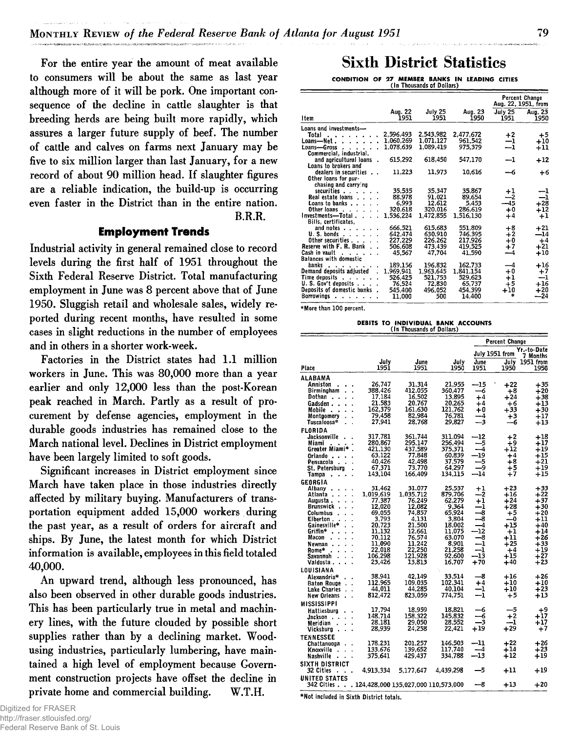**For the entire year the amount of meat available to consumers will be about the same as last year although more of it will be pork. One important consequence of the decline in cattle slaughter is that breeding herds are being built more rapidly, which assures a larger future supply of beef. The number of cattle and calves on farms next January may be five to six million larger than last January, for a new record of about 90 million head. If slaughter figures are a reliable indication, the build-up is occurring even faster in the District than in the entire nation. B.R.R.**

### **Employment Trends**

**Industrial activity in general remained close to record levels during the first half of 1951 throughout the Sixth Federal Reserve District. Total manufacturing employment in June was 8 percent above that of June 1950. Sluggish retail and wholesale sales, widely reported during recent months, have resulted in some cases in slight reductions in the number of employees and in others in a shorter work-week.**

**Factories in the District states had 1.1 million workers in June. This was 80,000 more than a year earlier and only 12,000 less than the post-Korean peak reached in March. Partly as a result of procurement by defense agencies, employment in the durable goods industries has remained close to the March national level. Declines in District employment have been largely limited to soft goods.**

**Significant increases in District employment since March have taken place in those industries directly affected by military buying. Manufacturers of transportation equipment added 15,000 workers during the past year, as a result of orders for aircraft and ships. By June, the latest month for which District information is available, employees in this field totaled 40,000.**

**An upward trend, although less pronounced, has also been observed in other durable goods industries. This has been particularly true in metal and machinery lines, with the future clouded by possible short supplies rather than by a declining market. Woodusing industries, particularly lumbering, have maintained a high level of employment because Government construction projects have offset the decline in private home and commercial building. W.T.H.**

## Sixth District Statistics

CONDITION OF 27 MEMBER BANKS IN LEADING CITIES \_\_\_\_\_\_\_\_\_\_\_\_\_\_ (In Thousands of Dollars)\_\_\_\_\_\_\_\_\_\_\_\_\_\_

|                                                     |                 |                 |                 |                  | Percent Change<br>Aug. 22, 1951, from |
|-----------------------------------------------------|-----------------|-----------------|-----------------|------------------|---------------------------------------|
| 1 tem                                               | Aug. 22<br>1951 | July 25<br>1951 | Aug. 23<br>1950 | July 25<br>1951  | Aug. 23<br>1950                       |
| Loans and investments-                              |                 |                 |                 |                  |                                       |
| Total                                               | 2.596.493       | 2.543.982       | 2.477.672       | $+2$             | $+5$                                  |
| Loans—Net .                                         | 1.060.269       | 1.071.127       | 961.542         | $^{\rm -1}$      | $+10$                                 |
| Loans-Gross                                         | 1.078.639       | 1,089,419       | 975.379         | $^{-1}$          | $^{\rm +11}$                          |
| Commercial, industrial,                             |                 |                 |                 |                  |                                       |
| and agricultural loans                              | 615,292         | 618,450         | 547.170         | $-1$             | +12                                   |
| Loans to brokers and                                |                 |                 |                 |                  |                                       |
| dealers in securities                               | 11,223          | 11,973          | 10,616          | -6               | +6                                    |
| Other loans for pur-                                |                 |                 |                 |                  |                                       |
| chasing and carrying                                |                 |                 |                 |                  |                                       |
| securities                                          | 35.535          | 35.347          | 35.867          | $^{\rm +1}$      | --1                                   |
| Real estate loans                                   | 88.978          | 91.021          | 89.654          | --2              | -1                                    |
| Loans to banks                                      | 6,993           | 12.612          | 5,453           | -45              | $+28$                                 |
| Other loans.<br>$\sim$ $\sim$                       | 320,618         | 320.016         | 286.619         | $+0$             | $+12$                                 |
| Investments-Total.                                  | 1.536 224       | 1.472.855       | 1.516.130       | $+4$             | $+1$                                  |
| Bills, certificates,                                |                 |                 |                 |                  |                                       |
| and notes .                                         | 666.521         | 615.683         | 551.809         | $+8$             | $+21$                                 |
| U.S. bonds<br>$\overline{\phantom{a}}$<br>$\lambda$ | 642.474         | 630.910         | 746.395         | $+2$             | $-14$                                 |
| Other securities                                    | 227.229         | 226.262         | 217.926         | $+0$             | +4                                    |
| Reserve with F. R. Bank                             | 506.608         | 473,439         | 419,525         | $+7$             | $+21$                                 |
| Cash in vault                                       | 45.567          | 47,704          | 41.590          | --4              | $+10$                                 |
| <b>Balances with domestic</b>                       |                 |                 |                 |                  |                                       |
| hanks<br>$\blacksquare$<br>$\cdots$                 | 189.156         | 196.832         | 162,733         | —4               | $+16$                                 |
| Demand deposits adjusted                            | 1.969.941       | 1.963.645       | 1.841.154       | $+0$             | $+7$                                  |
| Time deposits                                       | 526 425         | 521.753         | 529.623         | $^{\mathrm{+1}}$ | --1                                   |
| U. S. Gov't denosits                                | 76.524          | 72.830          | 65,737          | $+5$             | $+16$                                 |
| Deposits of domestic banks                          | 545.400         | 496,052         | 454,399         | $+10$            | $+20$                                 |
| Barrowings<br>$\sim$ $\sim$ $\sim$                  | 11.000          | 500             | 14.400          | *                | $-24$                                 |
|                                                     |                 |                 |                 |                  |                                       |

\*More than 100 percent.

DEBITS TO INDIVIDUAL BANK ACCOUNTS<br>
\_\_\_\_\_\_\_\_ (In Thousands of Dollars)

|                                                |                   |                   |                   |                  | <b>Percent Change</b> |                         |  |  |
|------------------------------------------------|-------------------|-------------------|-------------------|------------------|-----------------------|-------------------------|--|--|
|                                                |                   |                   |                   |                  | July 1951 from        | Yr.-to-Date<br>7 Months |  |  |
| Place                                          | July<br>1951      | June<br>1951      | July<br>1950      | June<br>1951     | July<br>1950          | 1951 from<br>1950       |  |  |
| ALABAMA                                        |                   |                   |                   |                  |                       |                         |  |  |
| Anniston<br>Birmingham                         | 26.747<br>388,426 | 31.314<br>412.055 | 21.955<br>360.477 | $-15$<br>-6      | $+22$<br>+8           | $+35$<br>$+20$          |  |  |
| Dothan                                         | 17.184            | 16.502            | 13.895            | $+4$             | $+24$                 | $+38$                   |  |  |
| Gadsden .                                      | 21.583            | 20.767            | 20,265            | $+4$             | +6                    | $+13$                   |  |  |
| Mobile                                         | 162,379           | 161.630           | 121,762           | $+0$             | $+33$                 | $+30$                   |  |  |
| Montaomery                                     | 79.458            | 82.984            | 76.781            | --4              | $+3$                  | $+17$                   |  |  |
| Tuscaloosa*                                    | 27.941            | 28.768            | 29.827            | -3               | -6                    | $+13$                   |  |  |
| <b>FLORIDA</b><br>Jacksonville                 | 317.781           | 361,744           | 311.094           | —12              | $+2$                  | $+18$                   |  |  |
| Miami                                          | 280,867           | 295.147           | 256.494           | —5               | $+9$                  | $+17$                   |  |  |
| Greater Miami*                                 | 421.130           | 437.589           | 375.371           | 4                | $+12$                 | $+19$                   |  |  |
| Orlando                                        | 63,122            | 77.848            | 60,839            | -19              | $+4$                  | $^{\mathrm{+15}}$       |  |  |
| Pensacola                                      | 40,426            | 42,498            | 37.579            | -5               | $+8$                  | $+21$                   |  |  |
| St. Petersburg                                 | 67.371            | 73.770            | 64.297            | -9<br>-14        | $+5$                  | $+19$                   |  |  |
| Tampa                                          | 143,104           | 166.409           | 134.115           |                  | $+7$                  | $+15$                   |  |  |
| GEORGIA<br>Albany                              | 31,462            | 31,077            | 25,537            | $^{\mathrm{+1}}$ | $+23$                 | $+33$                   |  |  |
| Atlanta                                        | 1,019,619         | 1.035.712         | 879,706           |                  | +16                   | $+22$                   |  |  |
| Augusta.                                       | 77,387            | 76.249            | 62.279            | $^{\rm +1}$      | $+24$                 | +37                     |  |  |
| Brunswick                                      | 12,020            | 12.082            | 9.364             | -1               | $+28$                 | $+30$                   |  |  |
| Columbus                                       | 69.055            | 74 857            | 65.924            | 8                | $+5$                  | $+20$                   |  |  |
| Elberton.<br>Gainesville*                      | 3.793<br>20,723   | 4 1 3 1<br>21.500 | 3.804<br>18.002   | -8<br>-4         | ---0<br>$+15$         | $^{\rm +11}$<br>$+40$   |  |  |
| Griffin*                                       | 11.132            | 12 661            | 11.075            | $-12$            | $+1$                  | $+14$                   |  |  |
| Macon                                          | 70.112            | 76,574            | 63.070            | —8               | $+11$                 | $+26$                   |  |  |
| Newnan                                         | 11.090            | 11.242            | 8.901             | -1               | $+25$                 | $+33$                   |  |  |
| Rome*                                          | 22.018            | 22,250            | 21,258            | -1               | $+4$                  | ∔19                     |  |  |
| Savannah                                       | 106.298           | 121.928           | 92.600            | -13<br>$+70$     | $+15$<br>$+40$        | $+27$<br>∔23            |  |  |
| Valdosta .                                     | 23,426            | 13,813            | 16.707            |                  |                       |                         |  |  |
| LOUISIANA<br>Alexandria*                       | 38.941            | 42.149            | 33.514            | —8               | +16                   | $+26$                   |  |  |
| <b>Baton Rouge</b>                             | 112,965           | 109.035           | 102,341           | $^{+4}$          | $+10$                 | $+10$                   |  |  |
| Lake Charles                                   | 44,011            | 44.285            | 40.104            | —1               | $+10$                 | $+23$                   |  |  |
| New Orleans                                    | 812,472           | 823.059           | 774.751           | -1               | +5                    | $+13$                   |  |  |
| MISSISSIPPI                                    |                   |                   |                   |                  |                       |                         |  |  |
| <b>Hattiesburg</b>                             | 17.794            | 18.959            | 18.821            | -6               | -5                    | $+9$                    |  |  |
| Jackson                                        | 148.714           | 158 322           | 145.832           | -6               | $+2$                  | +17                     |  |  |
| Meridian                                       | 28,181<br>28.939  | 29.050<br>24.258  | 28.552<br>22.421  | -3<br>$+19$      | -1<br>$+29$           | $+17$<br>$+7$           |  |  |
| Vicksbura                                      |                   |                   |                   |                  |                       |                         |  |  |
| <b>TENNESSEE</b><br>Chattanooga                | 178.231           | 201.257           | 146,503           | --11             | $+22$                 | $+26$                   |  |  |
| Knoxville                                      | 133.676           | 139.652           | 117.740           | --4              | $+14$                 | $+23$                   |  |  |
| Nashville                                      | 375,641           | 429.437           | 334.788           | -13              | $+12$                 | +19                     |  |  |
| SIXTH DISTRICT                                 |                   |                   |                   |                  |                       |                         |  |  |
| 32 Cities                                      | 4.913.334         | 5.177.647         | 4.439.298         | —5               | $+11$                 | $+19$                   |  |  |
| <b>UNITED STATES</b>                           |                   |                   |                   |                  |                       |                         |  |  |
| 342 Cities 124.428.000 135.027.000 110.573.000 |                   |                   |                   | —8               | +13                   | $+20$                   |  |  |
|                                                |                   |                   |                   |                  |                       |                         |  |  |

**♦Not included in Sixth District totals.**